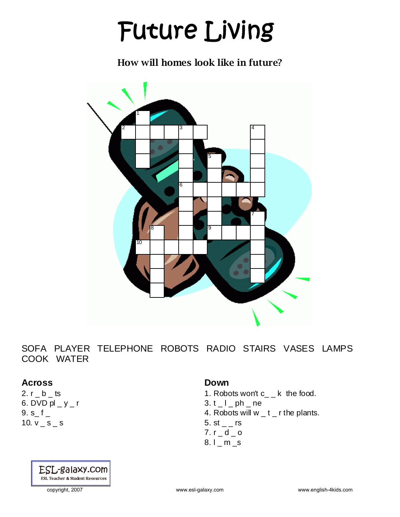# Future Living

How will homes look like in future?



SOFA PLAYER TELEPHONE ROBOTS RADIO STAIRS VASES LAMPS COOK WATER

#### **Across**

2.  $r_b$  \_ ts 6. DVD  $pl - y - r$ 9. s\_ f \_ 10.  $v$   $\leq$   $s$   $\leq$  s

## ESL-galaxy.com **ESL Teacher & Student Resources**

#### **Down**

- 1. Robots won't c\_ \_ k the food.
- $3. t_l$  \_ ph \_ ne
- 4. Robots will w \_ t \_ r the plants.
- 5. st  $-$  rs
- 7.  $r_d = d_d$
- 8.1 m s